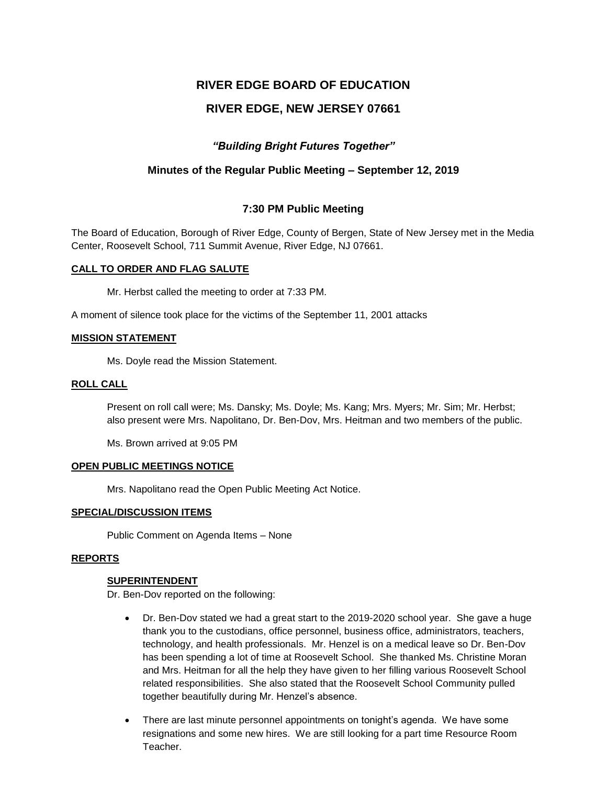# **RIVER EDGE BOARD OF EDUCATION**

# **RIVER EDGE, NEW JERSEY 07661**

# *"Building Bright Futures Together"*

# **Minutes of the Regular Public Meeting – September 12, 2019**

# **7:30 PM Public Meeting**

The Board of Education, Borough of River Edge, County of Bergen, State of New Jersey met in the Media Center, Roosevelt School, 711 Summit Avenue, River Edge, NJ 07661.

#### **CALL TO ORDER AND FLAG SALUTE**

Mr. Herbst called the meeting to order at 7:33 PM.

A moment of silence took place for the victims of the September 11, 2001 attacks

#### **MISSION STATEMENT**

Ms. Doyle read the Mission Statement.

### **ROLL CALL**

Present on roll call were; Ms. Dansky; Ms. Doyle; Ms. Kang; Mrs. Myers; Mr. Sim; Mr. Herbst; also present were Mrs. Napolitano, Dr. Ben-Dov, Mrs. Heitman and two members of the public.

Ms. Brown arrived at 9:05 PM

#### **OPEN PUBLIC MEETINGS NOTICE**

Mrs. Napolitano read the Open Public Meeting Act Notice.

#### **SPECIAL/DISCUSSION ITEMS**

Public Comment on Agenda Items – None

#### **REPORTS**

#### **SUPERINTENDENT**

Dr. Ben-Dov reported on the following:

- Dr. Ben-Dov stated we had a great start to the 2019-2020 school year. She gave a huge thank you to the custodians, office personnel, business office, administrators, teachers, technology, and health professionals. Mr. Henzel is on a medical leave so Dr. Ben-Dov has been spending a lot of time at Roosevelt School. She thanked Ms. Christine Moran and Mrs. Heitman for all the help they have given to her filling various Roosevelt School related responsibilities. She also stated that the Roosevelt School Community pulled together beautifully during Mr. Henzel's absence.
- There are last minute personnel appointments on tonight's agenda. We have some resignations and some new hires. We are still looking for a part time Resource Room Teacher.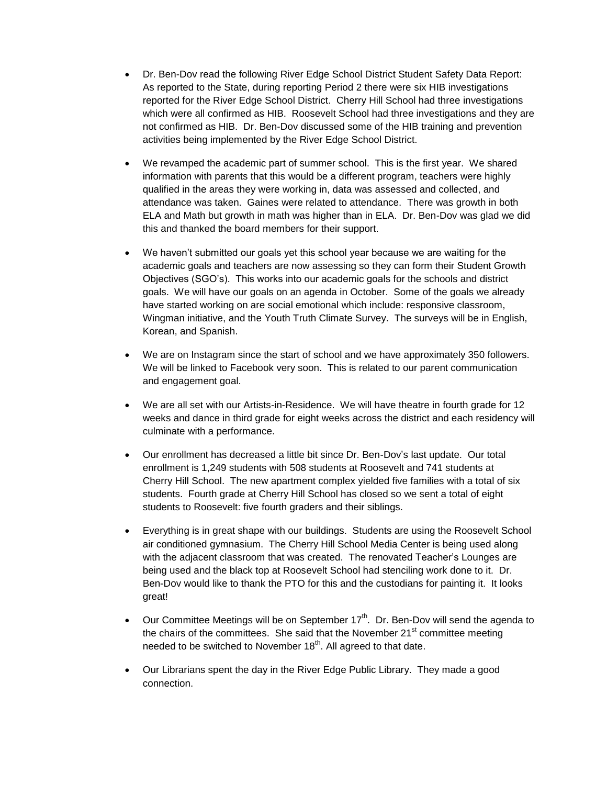- Dr. Ben-Dov read the following River Edge School District Student Safety Data Report: As reported to the State, during reporting Period 2 there were six HIB investigations reported for the River Edge School District. Cherry Hill School had three investigations which were all confirmed as HIB. Roosevelt School had three investigations and they are not confirmed as HIB. Dr. Ben-Dov discussed some of the HIB training and prevention activities being implemented by the River Edge School District.
- We revamped the academic part of summer school. This is the first year. We shared information with parents that this would be a different program, teachers were highly qualified in the areas they were working in, data was assessed and collected, and attendance was taken. Gaines were related to attendance. There was growth in both ELA and Math but growth in math was higher than in ELA. Dr. Ben-Dov was glad we did this and thanked the board members for their support.
- We haven't submitted our goals yet this school year because we are waiting for the academic goals and teachers are now assessing so they can form their Student Growth Objectives (SGO's). This works into our academic goals for the schools and district goals. We will have our goals on an agenda in October. Some of the goals we already have started working on are social emotional which include: responsive classroom, Wingman initiative, and the Youth Truth Climate Survey. The surveys will be in English, Korean, and Spanish.
- We are on Instagram since the start of school and we have approximately 350 followers. We will be linked to Facebook very soon. This is related to our parent communication and engagement goal.
- We are all set with our Artists-in-Residence. We will have theatre in fourth grade for 12 weeks and dance in third grade for eight weeks across the district and each residency will culminate with a performance.
- Our enrollment has decreased a little bit since Dr. Ben-Dov's last update. Our total enrollment is 1,249 students with 508 students at Roosevelt and 741 students at Cherry Hill School. The new apartment complex yielded five families with a total of six students. Fourth grade at Cherry Hill School has closed so we sent a total of eight students to Roosevelt: five fourth graders and their siblings.
- Everything is in great shape with our buildings. Students are using the Roosevelt School air conditioned gymnasium. The Cherry Hill School Media Center is being used along with the adjacent classroom that was created. The renovated Teacher's Lounges are being used and the black top at Roosevelt School had stenciling work done to it. Dr. Ben-Dov would like to thank the PTO for this and the custodians for painting it. It looks great!
- $\bullet$  Our Committee Meetings will be on September 17<sup>th</sup>. Dr. Ben-Dov will send the agenda to the chairs of the committees. She said that the November  $21<sup>st</sup>$  committee meeting needed to be switched to November  $18<sup>th</sup>$ . All agreed to that date.
- Our Librarians spent the day in the River Edge Public Library. They made a good connection.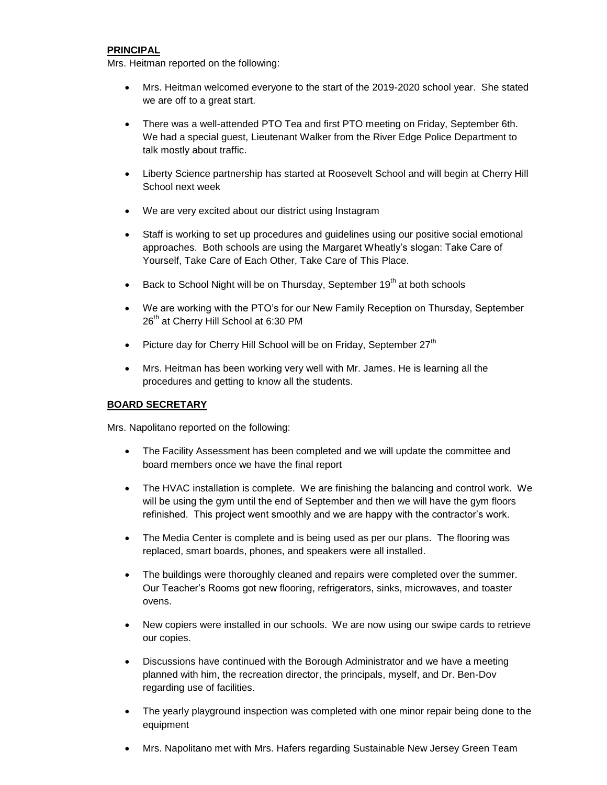# **PRINCIPAL**

Mrs. Heitman reported on the following:

- Mrs. Heitman welcomed everyone to the start of the 2019-2020 school year. She stated we are off to a great start.
- There was a well-attended PTO Tea and first PTO meeting on Friday, September 6th. We had a special guest, Lieutenant Walker from the River Edge Police Department to talk mostly about traffic.
- Liberty Science partnership has started at Roosevelt School and will begin at Cherry Hill School next week
- We are very excited about our district using Instagram
- Staff is working to set up procedures and guidelines using our positive social emotional approaches. Both schools are using the Margaret Wheatly's slogan: Take Care of Yourself, Take Care of Each Other, Take Care of This Place.
- Back to School Night will be on Thursday, September 19<sup>th</sup> at both schools
- We are working with the PTO's for our New Family Reception on Thursday, September 26<sup>th</sup> at Cherry Hill School at 6:30 PM
- Picture day for Cherry Hill School will be on Friday, September  $27<sup>th</sup>$
- Mrs. Heitman has been working very well with Mr. James. He is learning all the procedures and getting to know all the students.

# **BOARD SECRETARY**

Mrs. Napolitano reported on the following:

- The Facility Assessment has been completed and we will update the committee and board members once we have the final report
- The HVAC installation is complete. We are finishing the balancing and control work. We will be using the gym until the end of September and then we will have the gym floors refinished. This project went smoothly and we are happy with the contractor's work.
- The Media Center is complete and is being used as per our plans. The flooring was replaced, smart boards, phones, and speakers were all installed.
- The buildings were thoroughly cleaned and repairs were completed over the summer. Our Teacher's Rooms got new flooring, refrigerators, sinks, microwaves, and toaster ovens.
- New copiers were installed in our schools. We are now using our swipe cards to retrieve our copies.
- Discussions have continued with the Borough Administrator and we have a meeting planned with him, the recreation director, the principals, myself, and Dr. Ben-Dov regarding use of facilities.
- The yearly playground inspection was completed with one minor repair being done to the equipment
- Mrs. Napolitano met with Mrs. Hafers regarding Sustainable New Jersey Green Team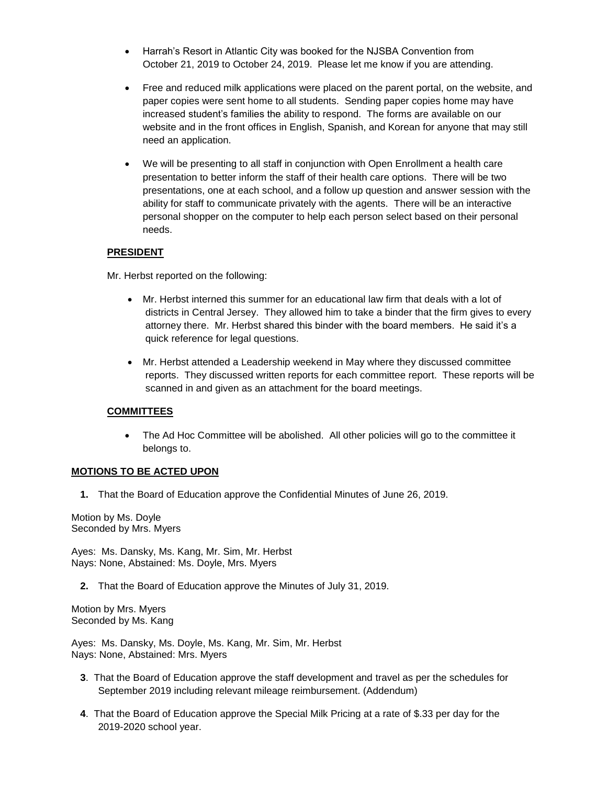- Harrah's Resort in Atlantic City was booked for the NJSBA Convention from October 21, 2019 to October 24, 2019. Please let me know if you are attending.
- Free and reduced milk applications were placed on the parent portal, on the website, and paper copies were sent home to all students. Sending paper copies home may have increased student's families the ability to respond. The forms are available on our website and in the front offices in English, Spanish, and Korean for anyone that may still need an application.
- We will be presenting to all staff in conjunction with Open Enrollment a health care presentation to better inform the staff of their health care options. There will be two presentations, one at each school, and a follow up question and answer session with the ability for staff to communicate privately with the agents. There will be an interactive personal shopper on the computer to help each person select based on their personal needs.

# **PRESIDENT**

Mr. Herbst reported on the following:

- Mr. Herbst interned this summer for an educational law firm that deals with a lot of districts in Central Jersey. They allowed him to take a binder that the firm gives to every attorney there. Mr. Herbst shared this binder with the board members. He said it's a quick reference for legal questions.
- Mr. Herbst attended a Leadership weekend in May where they discussed committee reports. They discussed written reports for each committee report. These reports will be scanned in and given as an attachment for the board meetings.

# **COMMITTEES**

 The Ad Hoc Committee will be abolished. All other policies will go to the committee it belongs to.

# **MOTIONS TO BE ACTED UPON**

**1.** That the Board of Education approve the Confidential Minutes of June 26, 2019.

Motion by Ms. Doyle Seconded by Mrs. Myers

Ayes: Ms. Dansky, Ms. Kang, Mr. Sim, Mr. Herbst Nays: None, Abstained: Ms. Doyle, Mrs. Myers

**2.** That the Board of Education approve the Minutes of July 31, 2019.

Motion by Mrs. Myers Seconded by Ms. Kang

Ayes: Ms. Dansky, Ms. Doyle, Ms. Kang, Mr. Sim, Mr. Herbst Nays: None, Abstained: Mrs. Myers

- **3**. That the Board of Education approve the staff development and travel as per the schedules for September 2019 including relevant mileage reimbursement. (Addendum)
- **4**. That the Board of Education approve the Special Milk Pricing at a rate of \$.33 per day for the 2019-2020 school year.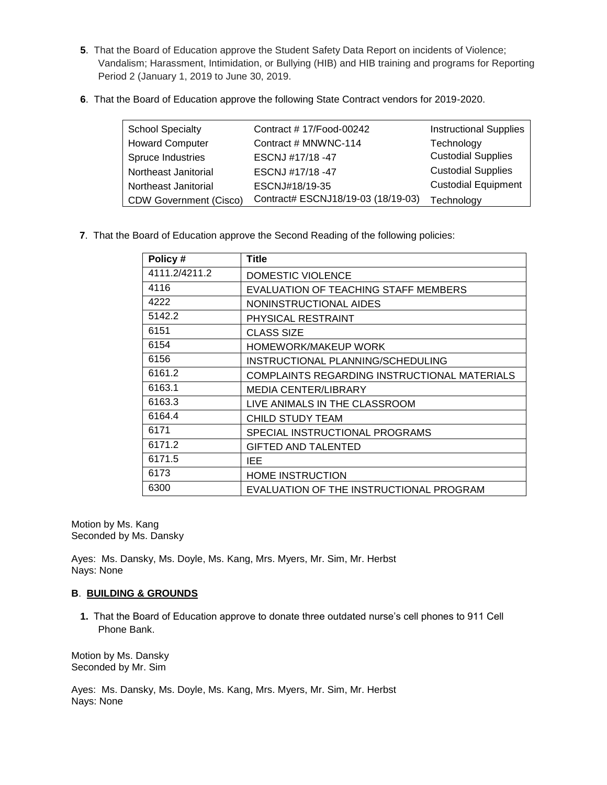- **5**. That the Board of Education approve the Student Safety Data Report on incidents of Violence; Vandalism; Harassment, Intimidation, or Bullying (HIB) and HIB training and programs for Reporting Period 2 (January 1, 2019 to June 30, 2019.
- **6**. That the Board of Education approve the following State Contract vendors for 2019-2020.

| <b>School Specialty</b>       | Contract #17/Food-00242            | <b>Instructional Supplies</b> |
|-------------------------------|------------------------------------|-------------------------------|
| <b>Howard Computer</b>        | Contract # MNWNC-114               | Technology                    |
| Spruce Industries             | ESCNJ #17/18 -47                   | <b>Custodial Supplies</b>     |
| Northeast Janitorial          | ESCNJ #17/18 -47                   | <b>Custodial Supplies</b>     |
| Northeast Janitorial          | ESCNJ#18/19-35                     | <b>Custodial Equipment</b>    |
| <b>CDW Government (Cisco)</b> | Contract# ESCNJ18/19-03 (18/19-03) | Technology                    |

**7**. That the Board of Education approve the Second Reading of the following policies:

| Policy#       | <b>Title</b>                                 |
|---------------|----------------------------------------------|
| 4111.2/4211.2 | DOMESTIC VIOLENCE                            |
| 4116          | EVALUATION OF TEACHING STAFF MEMBERS         |
| 4222          | NONINSTRUCTIONAL AIDES                       |
| 5142.2        | PHYSICAL RESTRAINT                           |
| 6151          | <b>CLASS SIZE</b>                            |
| 6154          | HOMEWORK/MAKEUP WORK                         |
| 6156          | INSTRUCTIONAL PLANNING/SCHEDULING            |
| 6161.2        | COMPLAINTS REGARDING INSTRUCTIONAL MATERIALS |
| 6163.1        | <b>MEDIA CENTER/LIBRARY</b>                  |
| 6163.3        | LIVE ANIMALS IN THE CLASSROOM                |
| 6164.4        | CHILD STUDY TEAM                             |
| 6171          | SPECIAL INSTRUCTIONAL PROGRAMS               |
| 6171.2        | <b>GIFTED AND TALENTED</b>                   |
| 6171.5        | IEE                                          |
| 6173          | <b>HOME INSTRUCTION</b>                      |
| 6300          | EVALUATION OF THE INSTRUCTIONAL PROGRAM      |

Motion by Ms. Kang Seconded by Ms. Dansky

Ayes: Ms. Dansky, Ms. Doyle, Ms. Kang, Mrs. Myers, Mr. Sim, Mr. Herbst Nays: None

# **B**. **BUILDING & GROUNDS**

**1.** That the Board of Education approve to donate three outdated nurse's cell phones to 911 Cell Phone Bank.

Motion by Ms. Dansky Seconded by Mr. Sim

Ayes: Ms. Dansky, Ms. Doyle, Ms. Kang, Mrs. Myers, Mr. Sim, Mr. Herbst Nays: None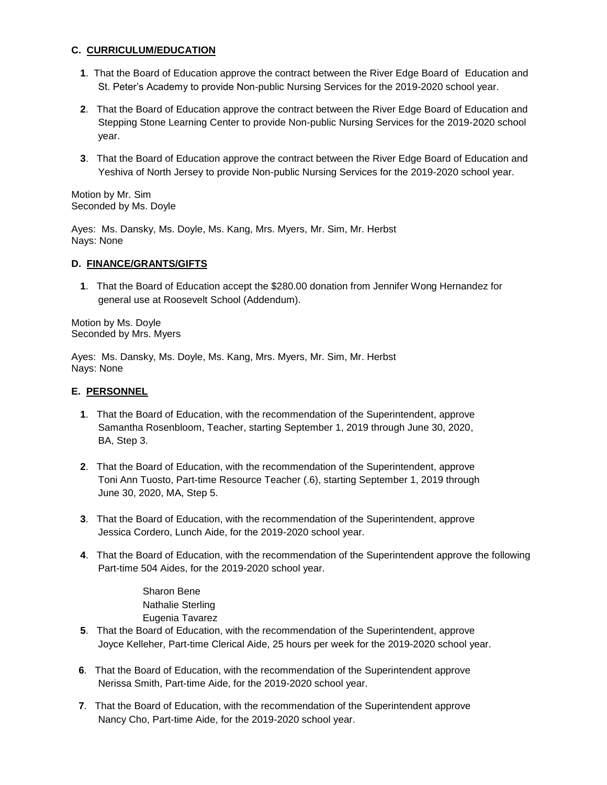### **C. CURRICULUM/EDUCATION**

- **1**. That the Board of Education approve the contract between the River Edge Board of Education and St. Peter's Academy to provide Non-public Nursing Services for the 2019-2020 school year.
- **2**. That the Board of Education approve the contract between the River Edge Board of Education and Stepping Stone Learning Center to provide Non-public Nursing Services for the 2019-2020 school year.
- **3**. That the Board of Education approve the contract between the River Edge Board of Education and Yeshiva of North Jersey to provide Non-public Nursing Services for the 2019-2020 school year.

Motion by Mr. Sim Seconded by Ms. Doyle

Ayes: Ms. Dansky, Ms. Doyle, Ms. Kang, Mrs. Myers, Mr. Sim, Mr. Herbst Nays: None

### **D. FINANCE/GRANTS/GIFTS**

**1**. That the Board of Education accept the \$280.00 donation from Jennifer Wong Hernandez for general use at Roosevelt School (Addendum).

Motion by Ms. Doyle Seconded by Mrs. Myers

Ayes: Ms. Dansky, Ms. Doyle, Ms. Kang, Mrs. Myers, Mr. Sim, Mr. Herbst Nays: None

### **E. PERSONNEL**

- **1**. That the Board of Education, with the recommendation of the Superintendent, approve Samantha Rosenbloom, Teacher, starting September 1, 2019 through June 30, 2020, BA, Step 3.
- **2**. That the Board of Education, with the recommendation of the Superintendent, approve Toni Ann Tuosto, Part-time Resource Teacher (.6), starting September 1, 2019 through June 30, 2020, MA, Step 5.
- **3**. That the Board of Education, with the recommendation of the Superintendent, approve Jessica Cordero, Lunch Aide, for the 2019-2020 school year.
- **4**. That the Board of Education, with the recommendation of the Superintendent approve the following Part-time 504 Aides, for the 2019-2020 school year.

Sharon Bene Nathalie Sterling Eugenia Tavarez

- **5**. That the Board of Education, with the recommendation of the Superintendent, approve Joyce Kelleher, Part-time Clerical Aide, 25 hours per week for the 2019-2020 school year.
- **6**. That the Board of Education, with the recommendation of the Superintendent approve Nerissa Smith, Part-time Aide, for the 2019-2020 school year.
- **7**. That the Board of Education, with the recommendation of the Superintendent approve Nancy Cho, Part-time Aide, for the 2019-2020 school year.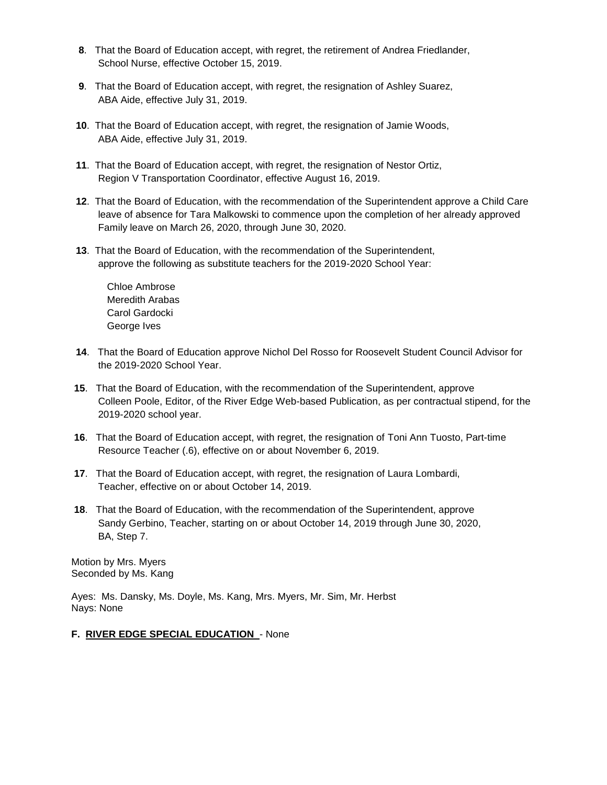- **8**. That the Board of Education accept, with regret, the retirement of Andrea Friedlander, School Nurse, effective October 15, 2019.
- **9**. That the Board of Education accept, with regret, the resignation of Ashley Suarez, ABA Aide, effective July 31, 2019.
- **10**. That the Board of Education accept, with regret, the resignation of Jamie Woods, ABA Aide, effective July 31, 2019.
- **11**. That the Board of Education accept, with regret, the resignation of Nestor Ortiz, Region V Transportation Coordinator, effective August 16, 2019.
- **12**. That the Board of Education, with the recommendation of the Superintendent approve a Child Care leave of absence for Tara Malkowski to commence upon the completion of her already approved Family leave on March 26, 2020, through June 30, 2020.
- **13**. That the Board of Education, with the recommendation of the Superintendent, approve the following as substitute teachers for the 2019-2020 School Year:

Chloe Ambrose Meredith Arabas Carol Gardocki George Ives

- **14**. That the Board of Education approve Nichol Del Rosso for Roosevelt Student Council Advisor for the 2019-2020 School Year.
- **15**. That the Board of Education, with the recommendation of the Superintendent, approve Colleen Poole, Editor, of the River Edge Web-based Publication, as per contractual stipend, for the 2019-2020 school year.
- **16**. That the Board of Education accept, with regret, the resignation of Toni Ann Tuosto, Part-time Resource Teacher (.6), effective on or about November 6, 2019.
- **17**. That the Board of Education accept, with regret, the resignation of Laura Lombardi, Teacher, effective on or about October 14, 2019.
- **18**. That the Board of Education, with the recommendation of the Superintendent, approve Sandy Gerbino, Teacher, starting on or about October 14, 2019 through June 30, 2020, BA, Step 7.

Motion by Mrs. Myers Seconded by Ms. Kang

Ayes: Ms. Dansky, Ms. Doyle, Ms. Kang, Mrs. Myers, Mr. Sim, Mr. Herbst Nays: None

# **F. RIVER EDGE SPECIAL EDUCATION** - None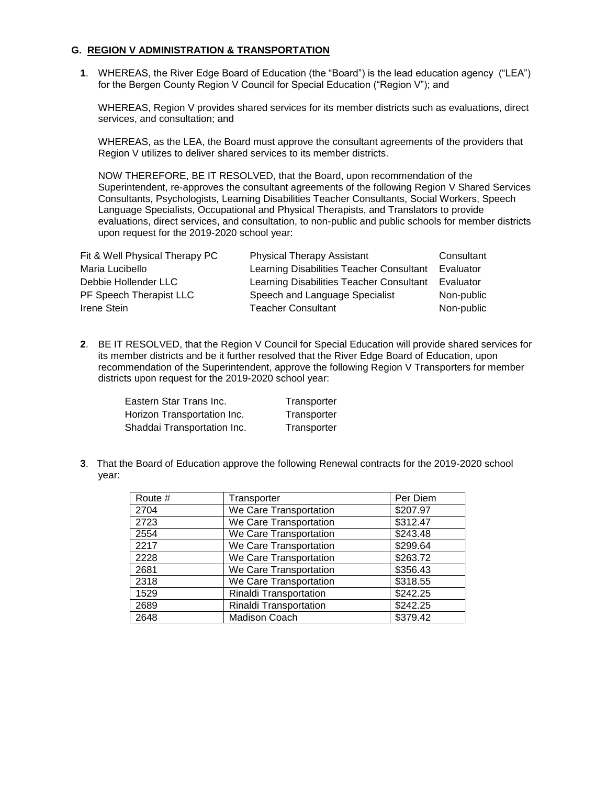### **G. REGION V ADMINISTRATION & TRANSPORTATION**

**1**. WHEREAS, the River Edge Board of Education (the "Board") is the lead education agency ("LEA") for the Bergen County Region V Council for Special Education ("Region V"); and

WHEREAS, Region V provides shared services for its member districts such as evaluations, direct services, and consultation; and

WHEREAS, as the LEA, the Board must approve the consultant agreements of the providers that Region V utilizes to deliver shared services to its member districts.

NOW THEREFORE, BE IT RESOLVED, that the Board, upon recommendation of the Superintendent, re-approves the consultant agreements of the following Region V Shared Services Consultants, Psychologists, Learning Disabilities Teacher Consultants, Social Workers, Speech Language Specialists, Occupational and Physical Therapists, and Translators to provide evaluations, direct services, and consultation, to non-public and public schools for member districts upon request for the 2019-2020 school year:

| Fit & Well Physical Therapy PC | <b>Physical Therapy Assistant</b>        | Consultant |
|--------------------------------|------------------------------------------|------------|
| Maria Lucibello                | Learning Disabilities Teacher Consultant | Evaluator  |
| Debbie Hollender LLC           | Learning Disabilities Teacher Consultant | Evaluator  |
| PF Speech Therapist LLC        | Speech and Language Specialist           | Non-public |
| Irene Stein                    | <b>Teacher Consultant</b>                | Non-public |

**2**. BE IT RESOLVED, that the Region V Council for Special Education will provide shared services for its member districts and be it further resolved that the River Edge Board of Education, upon recommendation of the Superintendent, approve the following Region V Transporters for member districts upon request for the 2019-2020 school year:

Eastern Star Trans Inc. Transporter Horizon Transportation Inc. Transporter Shaddai Transportation Inc. Transporter

**3**. That the Board of Education approve the following Renewal contracts for the 2019-2020 school year:

| Route # | Transporter            | Per Diem             |
|---------|------------------------|----------------------|
| 2704    | We Care Transportation | \$207.97             |
| 2723    | We Care Transportation | \$312.47             |
| 2554    | We Care Transportation | \$243.48             |
| 2217    | We Care Transportation | \$299.64             |
| 2228    | We Care Transportation | \$263.72             |
| 2681    | We Care Transportation | \$356.43             |
| 2318    | We Care Transportation | \$318.55             |
| 1529    | Rinaldi Transportation | $\overline{$}242.25$ |
| 2689    | Rinaldi Transportation | \$242.25             |
| 2648    | <b>Madison Coach</b>   | \$379.42             |